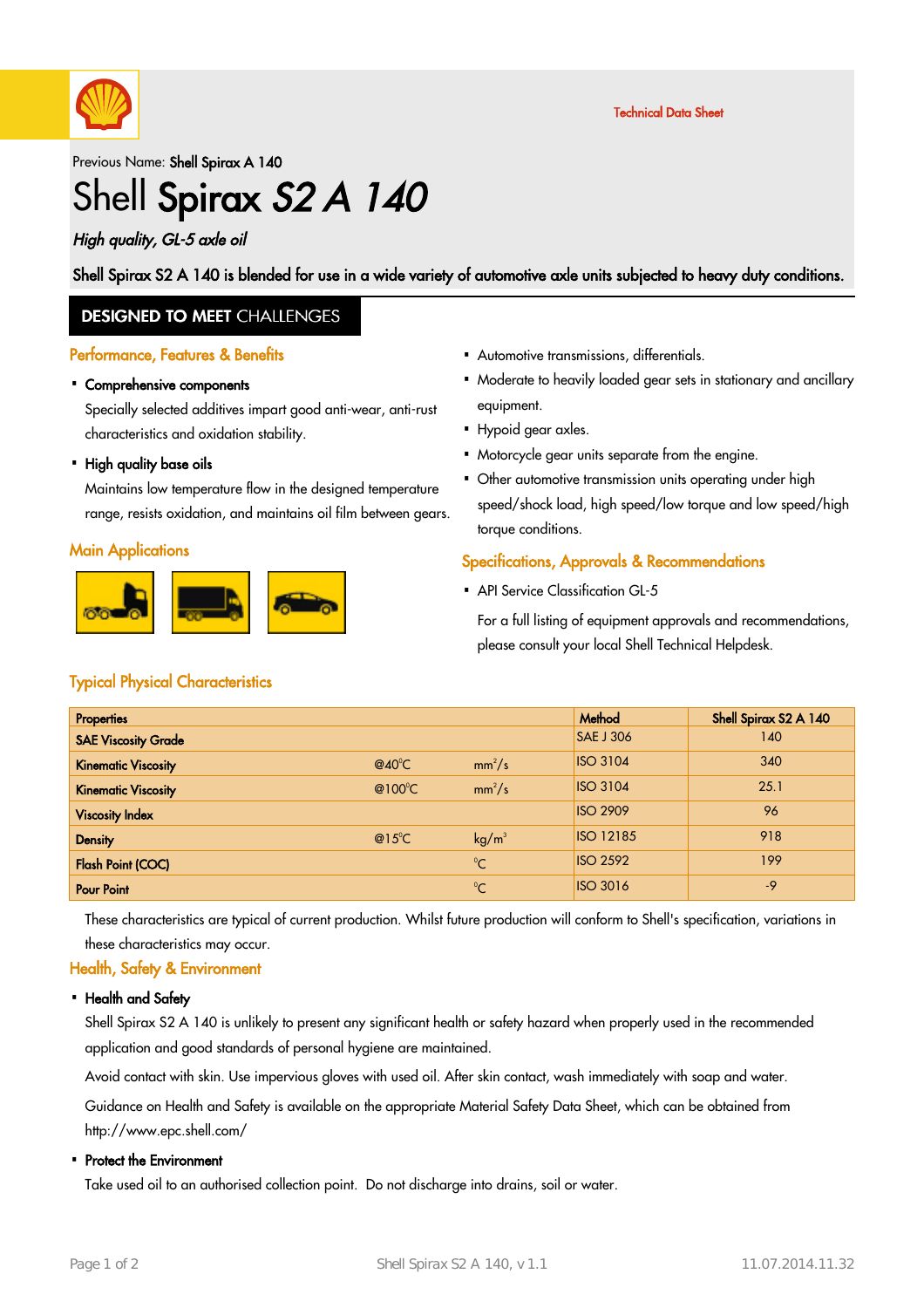

Technical Data Sheet

Previous Name: Shell Spirax A 140

# Shell Spirax S2 A 140

#### High quality, GL-5 axle oil

Shell Spirax S2 A 140 is blended for use in a wide variety of automotive axle units subjected to heavy duty conditions.

#### **DESIGNED TO MEET CHALLENGES**

#### Performance, Features & Benefits

## Comprehensive components ·

Specially selected additives impart good anti-wear, anti-rust characteristics and oxidation stability.

## • High quality base oils

Maintains low temperature flow in the designed temperature range, resists oxidation, and maintains oil film between gears.

#### **Main Applications**



- Automotive transmissions, differentials. ·
- Moderate to heavily loaded gear sets in stationary and ancillary · equipment.
- Hypoid gear axles.
- Motorcycle gear units separate from the engine.
- Other automotive transmission units operating under high speed/shock load, high speed/low torque and low speed/high torque conditions.

#### Specifications, Approvals & Recommendations

• API Service Classification GL-5

For a full listing of equipment approvals and recommendations, please consult your local Shell Technical Helpdesk.

#### Typical Physical Characteristics

| <b>Properties</b>          |                  |                   | Method           | Shell Spirax S2 A 140 |
|----------------------------|------------------|-------------------|------------------|-----------------------|
| <b>SAE Viscosity Grade</b> |                  |                   | <b>SAE J 306</b> | 140                   |
| <b>Kinematic Viscosity</b> | $@40^{\circ}$ C  | $mm^2/s$          | <b>ISO 3104</b>  | 340                   |
| <b>Kinematic Viscosity</b> | @100 $\degree$ C | $mm^2/s$          | <b>ISO 3104</b>  | 25.1                  |
| <b>Viscosity Index</b>     |                  |                   | <b>ISO 2909</b>  | 96                    |
| <b>Density</b>             | $@15^{\circ}$ C  | kg/m <sup>3</sup> | <b>ISO 12185</b> | 918                   |
| <b>Flash Point (COC)</b>   |                  | $^{\circ}C$       | <b>ISO 2592</b>  | 199                   |
| <b>Pour Point</b>          |                  | $^{\circ}C$       | <b>ISO 3016</b>  | $-9$                  |

These characteristics are typical of current production. Whilst future production will conform to Shell's specification, variations in these characteristics may occur.

#### Health, Safety & Environment

#### • Health and Safety

Shell Spirax S2 A 140 is unlikely to present any significant health or safety hazard when properly used in the recommended application and good standards of personal hygiene are maintained.

Avoid contact with skin. Use impervious gloves with used oil. After skin contact, wash immediately with soap and water.

Guidance on Health and Safety is available on the appropriate Material Safety Data Sheet, which can be obtained from http://www.epc.shell.com/

## • Protect the Environment

Take used oil to an authorised collection point. Do not discharge into drains, soil or water.